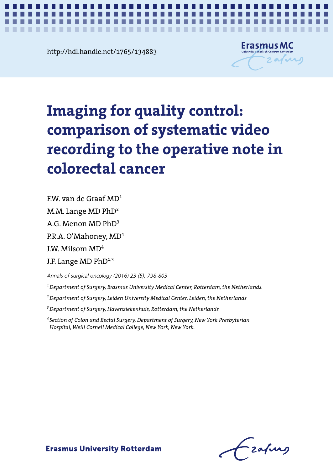<u>Rup://Raharande.net/1/65/134883</u><br>
External of the contract of the contract of the contract of the contract of the contract of the contract of the contract of the contract of the contract of the contract of the contract of http://hdl.handle.net/1765/134883



*Systematic video versus operative note: a pilot study* **1**

# Imaging for quality control: comparison **comparison of systematic video**  recording to the operative note in operative note in colorectal cancer **colorectal cancer Imaging for quality control:**

A.G. Menon MD  $PhD<sup>3</sup>$  $\overline{M}$ P.R.A. O'Mahoney,  $MD<sup>4</sup>$ J.W. Milsom MD $^4\,$ J.F. Lange  $MD PhD^{1,3}$  $FW$  van de Graaf MD<sup>1</sup> M.M. Lange  $MD PhD<sup>2</sup>$ 

*Annals of surgical oncology (2016) 23 (5), 798-803*

*Annals of surgical oncology (2016) 23 (5), 798-803 1 Department of Surgery, Erasmus University Medical Center, Rotterdam, the Netherlands.*

*2 Department of Surgery, Leiden University Medical Center, Leiden, the Netherlands*

<sup>3</sup> Department of Surgery, Havenziekenhuis, Rotterdam, the Netherlands

<sup>4</sup> Section of Colon and Rectal Surgery, Department of Surgery, New York Presbyterian 3 Department of Surgery, Havenziekenhuis, Rotterdam, the Netherlands *Hospital, Weill Cornell Medical College, New York, New York.*

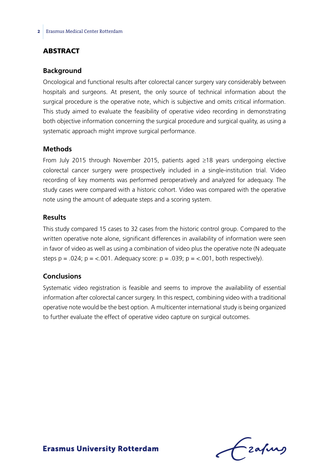# **ABSTRACT**

#### **Background**

Oncological and functional results after colorectal cancer surgery vary considerably between hospitals and surgeons. At present, the only source of technical information about the surgical procedure is the operative note, which is subjective and omits critical information. This study aimed to evaluate the feasibility of operative video recording in demonstrating both objective information concerning the surgical procedure and surgical quality, as using a systematic approach might improve surgical performance.

#### **Methods**

From July 2015 through November 2015, patients aged ≥18 years undergoing elective colorectal cancer surgery were prospectively included in a single-institution trial. Video recording of key moments was performed peroperatively and analyzed for adequacy. The study cases were compared with a historic cohort. Video was compared with the operative note using the amount of adequate steps and a scoring system.

#### **Results**

This study compared 15 cases to 32 cases from the historic control group. Compared to the written operative note alone, significant differences in availability of information were seen in favor of video as well as using a combination of video plus the operative note (N adequate steps  $p = .024$ ;  $p = < .001$ . Adequacy score:  $p = .039$ ;  $p = < .001$ , both respectively).

#### **Conclusions**

Systematic video registration is feasible and seems to improve the availability of essential information after colorectal cancer surgery. In this respect, combining video with a traditional operative note would be the best option. A multicenter international study is being organized to further evaluate the effect of operative video capture on surgical outcomes.

Lzafurs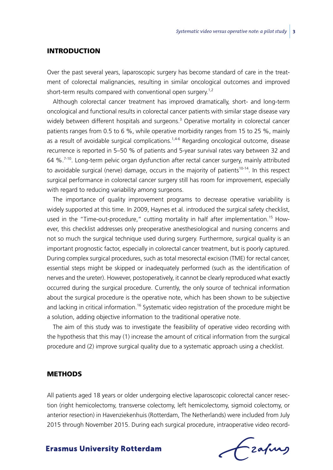#### **INTRODUCTION**

Over the past several years, laparoscopic surgery has become standard of care in the treatment of colorectal malignancies, resulting in similar oncological outcomes and improved short-term results compared with conventional open surgery.<sup>1,2</sup>

Although colorectal cancer treatment has improved dramatically, short- and long-term oncological and functional results in colorectal cancer patients with similar stage disease vary widely between different hospitals and surgeons.<sup>3</sup> Operative mortality in colorectal cancer patients ranges from 0.5 to 6 %, while operative morbidity ranges from 15 to 25 %, mainly as a result of avoidable surgical complications.<sup>1,4-6</sup> Regarding oncological outcome, disease recurrence is reported in 5–50 % of patients and 5-year survival rates vary between 32 and 64  $\%$ <sup>7-10</sup>. Long-term pelvic organ dysfunction after rectal cancer surgery, mainly attributed to avoidable surgical (nerve) damage, occurs in the majority of patients<sup>10-14</sup>. In this respect surgical performance in colorectal cancer surgery still has room for improvement, especially with regard to reducing variability among surgeons.

The importance of quality improvement programs to decrease operative variability is widely supported at this time. In 2009, Haynes et al. introduced the surgical safety checklist, used in the "Time-out-procedure," cutting mortality in half after implementation.<sup>15</sup> However, this checklist addresses only preoperative anesthesiological and nursing concerns and not so much the surgical technique used during surgery. Furthermore, surgical quality is an important prognostic factor, especially in colorectal cancer treatment, but is poorly captured. During complex surgical procedures, such as total mesorectal excision (TME) for rectal cancer, essential steps might be skipped or inadequately performed (such as the identification of nerves and the ureter). However, postoperatively, it cannot be clearly reproduced what exactly occurred during the surgical procedure. Currently, the only source of technical information about the surgical procedure is the operative note, which has been shown to be subjective and lacking in critical information.<sup>16</sup> Systematic video registration of the procedure might be a solution, adding objective information to the traditional operative note.

The aim of this study was to investigate the feasibility of operative video recording with the hypothesis that this may (1) increase the amount of critical information from the surgical procedure and (2) improve surgical quality due to a systematic approach using a checklist.

#### **METHODS**

All patients aged 18 years or older undergoing elective laparoscopic colorectal cancer resection (right hemicolectomy, transverse colectomy, left hemicolectomy, sigmoid colectomy, or anterior resection) in Havenziekenhuis (Rotterdam, The Netherlands) were included from July 2015 through November 2015. During each surgical procedure, intraoperative video record-

Czafurz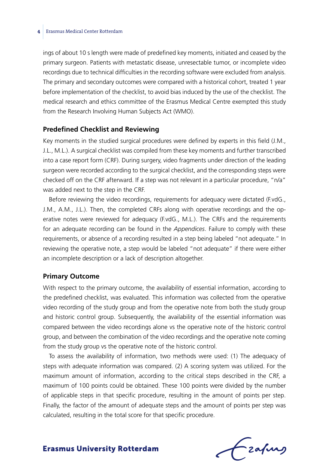#### **4** Erasmus Medical Center Rotterdam

ings of about 10 s length were made of predefined key moments, initiated and ceased by the primary surgeon. Patients with metastatic disease, unresectable tumor, or incomplete video recordings due to technical difficulties in the recording software were excluded from analysis. The primary and secondary outcomes were compared with a historical cohort, treated 1 year before implementation of the checklist, to avoid bias induced by the use of the checklist. The medical research and ethics committee of the Erasmus Medical Centre exempted this study from the Research Involving Human Subjects Act (WMO).

#### **Predefined Checklist and Reviewing**

Key moments in the studied surgical procedures were defined by experts in this field (J.M., J.L., M.L.). A surgical checklist was compiled from these key moments and further transcribed into a case report form (CRF). During surgery, video fragments under direction of the leading surgeon were recorded according to the surgical checklist, and the corresponding steps were checked off on the CRF afterward. If a step was not relevant in a particular procedure, "n/a" was added next to the step in the CRF.

Before reviewing the video recordings, requirements for adequacy were dictated (F.vdG., J.M., A.M., J.L.). Then, the completed CRFs along with operative recordings and the operative notes were reviewed for adequacy (F.vdG., M.L.). The CRFs and the requirements for an adequate recording can be found in the *Appendices*. Failure to comply with these requirements, or absence of a recording resulted in a step being labeled "not adequate." In reviewing the operative note, a step would be labeled "not adequate" if there were either an incomplete description or a lack of description altogether.

#### **Primary Outcome**

With respect to the primary outcome, the availability of essential information, according to the predefined checklist, was evaluated. This information was collected from the operative video recording of the study group and from the operative note from both the study group and historic control group. Subsequently, the availability of the essential information was compared between the video recordings alone vs the operative note of the historic control group, and between the combination of the video recordings and the operative note coming from the study group vs the operative note of the historic control.

To assess the availability of information, two methods were used: (1) The adequacy of steps with adequate information was compared. (2) A scoring system was utilized. For the maximum amount of information, according to the critical steps described in the CRF, a maximum of 100 points could be obtained. These 100 points were divided by the number of applicable steps in that specific procedure, resulting in the amount of points per step. Finally, the factor of the amount of adequate steps and the amount of points per step was calculated, resulting in the total score for that specific procedure.

Frahing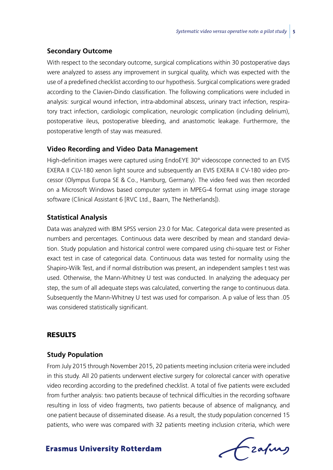#### **Secondary Outcome**

With respect to the secondary outcome, surgical complications within 30 postoperative days were analyzed to assess any improvement in surgical quality, which was expected with the use of a predefined checklist according to our hypothesis. Surgical complications were graded according to the Clavien-Dindo classification. The following complications were included in analysis: surgical wound infection, intra-abdominal abscess, urinary tract infection, respiratory tract infection, cardiologic complication, neurologic complication (including delirium), postoperative ileus, postoperative bleeding, and anastomotic leakage. Furthermore, the postoperative length of stay was measured.

#### **Video Recording and Video Data Management**

High-definition images were captured using EndoEYE 30° videoscope connected to an EVIS EXERA II CLV-180 xenon light source and subsequently an EVIS EXERA II CV-180 video processor (Olympus Europa SE & Co., Hamburg, Germany). The video feed was then recorded on a Microsoft Windows based computer system in MPEG-4 format using image storage software (Clinical Assistant 6 [RVC Ltd., Baarn, The Netherlands]).

#### **Statistical Analysis**

Data was analyzed with IBM SPSS version 23.0 for Mac. Categorical data were presented as numbers and percentages. Continuous data were described by mean and standard deviation. Study population and historical control were compared using chi-square test or Fisher exact test in case of categorical data. Continuous data was tested for normality using the Shapiro-Wilk Test, and if normal distribution was present, an independent samples t test was used. Otherwise, the Mann-Whitney U test was conducted. In analyzing the adequacy per step, the sum of all adequate steps was calculated, converting the range to continuous data. Subsequently the Mann-Whitney U test was used for comparison. A p value of less than .05 was considered statistically significant.

## Results

#### **Study Population**

From July 2015 through November 2015, 20 patients meeting inclusion criteria were included in this study. All 20 patients underwent elective surgery for colorectal cancer with operative video recording according to the predefined checklist. A total of five patients were excluded from further analysis: two patients because of technical difficulties in the recording software resulting in loss of video fragments, two patients because of absence of malignancy, and one patient because of disseminated disease. As a result, the study population concerned 15 patients, who were was compared with 32 patients meeting inclusion criteria, which were

Frafing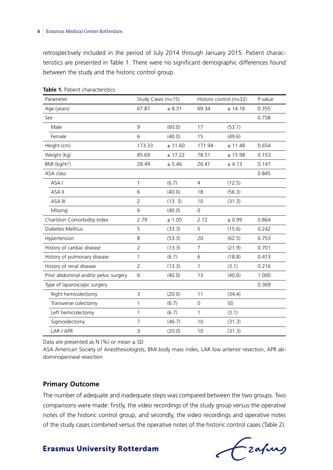retrospectively included in the period of July 2014 through January 2015. Patient characteristics are presented in Table 1. There were no significant demographic differences found between the study and the historic control group.

| Parameter                             | Study Cases (n=15) |         | Historic control (n=32) |         | P-value |
|---------------------------------------|--------------------|---------|-------------------------|---------|---------|
| Age (years)                           | 67.87              | ± 8.31  | 69.34                   | ± 14.16 | 0.355   |
| Sex                                   |                    |         |                         |         | 0.758   |
| Male                                  | 9                  | (60.0)  | 17                      | (53.1)  |         |
| Female                                | 6                  | (40.0)  | 15                      | (49.6)  |         |
| Height (cm)                           | 173.33             | ± 11.60 | 171.94                  | ± 11.48 | 0.654   |
| Weight (kg)                           | 85.69              | ± 17.22 | 78.51                   | ± 15.98 | 0.153   |
| $BMI$ (kg/m <sup>2</sup> )            | 28.49              | ± 5.46  | 26.41                   | ± 4.13  | 0.147   |
| <b>ASA class</b>                      |                    |         |                         |         | 0.845   |
| ASA I                                 | 1                  | (6.7)   | $\overline{4}$          | (12.5)  |         |
| ASA II                                | 6                  | (40.0)  | 18                      | (56.3)  |         |
| ASA III                               | $\overline{2}$     | (13.3)  | 10                      | (31.3)  |         |
| Missing                               | 6                  | (40.0)  | $\mathbf 0$             |         |         |
| Charlston Comorbidity Index           | 2.79               | ± 1.05  | 2.72                    | ± 0.99  | 0.864   |
| Diabetes Mellitus                     | 5                  | (33.3)  | 5                       | (15.6)  | 0.242   |
| Hypertension                          | 8                  | (53.3)  | 20                      | (62.5)  | 0.753   |
| History of cardiac disease            | $\overline{2}$     | (13.3)  | $\overline{7}$          | (21.9)  | 0.701   |
| History of pulmonary disease          | 1                  | (6.7)   | 6                       | (18.8)  | 0.413   |
| History of renal disease              | $\overline{2}$     | (13.3)  | 1                       | (3.1)   | 0.216   |
| Prior abdominal and/or pelvic surgery | 6                  | (40.0)  | 13                      | (40.6)  | 1.000   |
| Type of laparoscopic surgery          |                    |         |                         |         | 0.369   |
| Right hemicolectomy                   | 3                  | (20.0)  | 11                      | (34.4)  |         |
| Transverse colectomy                  | 1                  | (6.7)   | 0                       | (0)     |         |
| Left hemicolectomy                    | 1                  | (6.7)   | 1                       | (3.1)   |         |
| Sigmoidectomy                         | $\overline{7}$     | (46.7)  | 10                      | (31.3)  |         |
| LAR / APR                             | 3                  | (20.0)  | 10                      | (31.3)  |         |

**Table 1.** Patient characteristics

Data are presented as  $N$  (%) or mean  $\pm$  SD

ASA American Society of Anesthesiologists, BMI body mass index, LAR low anterior resection, APR abdominoperineal resection

#### **Primary Outcome**

The number of adequate and inadequate steps was compared between the two groups. Two comparisons were made: firstly, the video recordings of the study group versus the operative notes of the historic control group, and secondly, the video recordings and operative notes of the study cases combined versus the operative notes of the historic control cases (Table 2).

Czafurg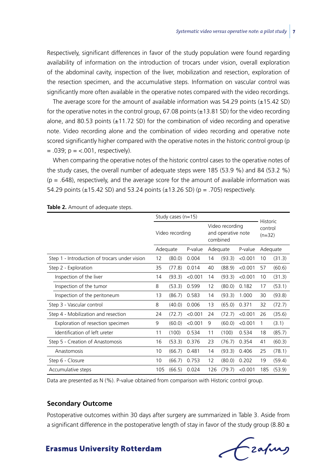Respectively, significant differences in favor of the study population were found regarding availability of information on the introduction of trocars under vision, overall exploration of the abdominal cavity, inspection of the liver, mobilization and resection, exploration of the resection specimen, and the accumulative steps. Information on vascular control was significantly more often available in the operative notes compared with the video recordings.

The average score for the amount of available information was  $54.29$  points  $(\pm 15.42$  SD) for the operative notes in the control group,  $67.08$  points ( $\pm 13.81$  SD) for the video recording alone, and 80.53 points  $(\pm 11.72 \text{ SD})$  for the combination of video recording and operative note. Video recording alone and the combination of video recording and operative note scored significantly higher compared with the operative notes in the historic control group (p  $= .039$ ;  $p = < .001$ , respectively).

When comparing the operative notes of the historic control cases to the operative notes of the study cases, the overall number of adequate steps were 185 (53.9 %) and 84 (53.2 %)  $(p = .648)$ , respectively, and the average score for the amount of available information was 54.29 points (±15.42 SD) and 53.24 points (±13.26 SD) (p = .705) respectively.

|                                               | Study cases (n=15) |        |         |                                                   |        |         |                                        |        |  |
|-----------------------------------------------|--------------------|--------|---------|---------------------------------------------------|--------|---------|----------------------------------------|--------|--|
|                                               | Video recording    |        |         | Video recording<br>and operative note<br>combined |        |         | <b>Historic</b><br>control<br>$(n=32)$ |        |  |
|                                               | Adequate           |        | P-value | Adequate                                          |        | P-value | Adequate                               |        |  |
| Step 1 - Introduction of trocars under vision | 12                 | (80.0) | 0.004   | 14                                                | (93.3) | < 0.001 | 10                                     | (31.3) |  |
| Step 2 - Exploration                          | 35                 | (77.8) | 0.014   | 40                                                | (88.9) | < 0.001 | 57                                     | (60.6) |  |
| Inspection of the liver                       | 14                 | (93.3) | < 0.001 | 14                                                | (93.3) | < 0.001 | 10                                     | (31.3) |  |
| Inspection of the tumor                       | 8                  | (53.3) | 0.599   | 12                                                | (80.0) | 0.182   | 17                                     | (53.1) |  |
| Inspection of the peritoneum                  | 13                 | (86.7) | 0.583   | 14                                                | (93.3) | 1.000   | 30                                     | (93.8) |  |
| Step 3 - Vascular control                     | 8                  | (40.0) | 0.006   | 13                                                | (65.0) | 0.371   | 32                                     | (72.7) |  |
| Step 4 - Mobilization and resection           | 24                 | (72.7) | < 0.001 | 24                                                | (72.7) | < 0.001 | 26                                     | (35.6) |  |
| Exploration of resection specimen             | 9                  | (60.0) | < 0.001 | 9                                                 | (60.0) | < 0.001 | 1                                      | (3.1)  |  |
| Identification of left ureter                 | 11                 | (100)  | 0.534   | 11                                                | (100)  | 0.534   | 18                                     | (85.7) |  |
| Step 5 - Creation of Anastomosis              | 16                 | (53.3) | 0.376   | 23                                                | (76.7) | 0.354   | 41                                     | (60.3) |  |
| Anastomosis                                   | 10                 | (66.7) | 0.481   | 14                                                | (93.3) | 0.406   | 25                                     | (78.1) |  |
| Step 6 - Closure                              | 10                 | (66.7) | 0.753   | 12                                                | (80.0) | 0.202   | 19                                     | (59.4) |  |
| Accumulative steps                            | 105                | (66.5) | 0.024   | 126                                               | (79.7) | < 0.001 | 185                                    | (53.9) |  |

**Table 2.** Amount of adequate steps.

Data are presented as N (%). P-value obtained from comparison with Historic control group.

#### **Secondary Outcome**

Postoperative outcomes within 30 days after surgery are summarized in Table 3. Aside from a significant difference in the postoperative length of stay in favor of the study group (8.80  $\pm$ 

Czapurs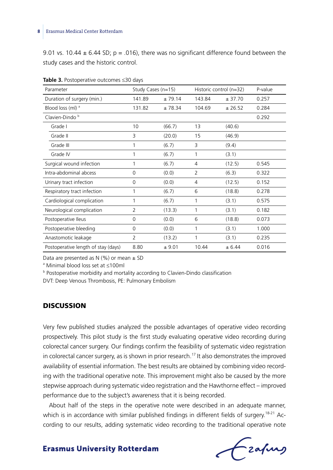9.01 vs. 10.44  $\pm$  6.44 SD; p = .016), there was no significant difference found between the study cases and the historic control.

| Parameter                           | Study Cases (n=15) |        | Historic control (n=32) | P-value |       |
|-------------------------------------|--------------------|--------|-------------------------|---------|-------|
| Duration of surgery (min.)          | 141.89             | ±79.14 | 143.84                  | ± 37.70 | 0.257 |
| Blood loss (ml) a                   | 131.82             | ±78.34 | 104.69                  | ± 26.52 | 0.284 |
| Clavien-Dindo <sup>b</sup>          |                    |        |                         |         | 0.292 |
| Grade I                             | 10                 | (66.7) | 13                      | (40.6)  |       |
| Grade II                            | 3                  | (20.0) | 15                      | (46.9)  |       |
| Grade III                           | 1                  | (6.7)  | 3                       | (9.4)   |       |
| Grade IV                            | 1                  | (6.7)  | 1                       | (3.1)   |       |
| Surgical wound infection            | 1                  | (6.7)  | 4                       | (12.5)  | 0.545 |
| Intra-abdominal abcess              | 0                  | (0.0)  | $\overline{2}$          | (6.3)   | 0.322 |
| Urinary tract infection             | $\mathbf 0$        | (0.0)  | 4                       | (12.5)  | 0.152 |
| Respiratory tract infection         | 1                  | (6.7)  | 6                       | (18.8)  | 0.278 |
| Cardiological complication          | 1                  | (6.7)  | 1                       | (3.1)   | 0.575 |
| Neurological complication           | 2                  | (13.3) | 1                       | (3.1)   | 0.182 |
| Postoperative Ileus                 | 0                  | (0.0)  | 6                       | (18.8)  | 0.073 |
| Postoperative bleeding              | 0                  | (0.0)  | 1                       | (3.1)   | 1.000 |
| Anastomotic leakage                 | $\overline{2}$     | (13.2) | 1                       | (3.1)   | 0.235 |
| Postoperative length of stay (days) | 8.80               | ± 9.01 | 10.44                   | ± 6.44  | 0.016 |

**Table 3.** Postoperative outcomes ≤30 days

Data are presented as  $N$  (%) or mean  $\pm$  SD

a Minimal blood loss set at ≤100ml

**b** Postoperative morbidity and mortality according to Clavien-Dindo classification

DVT: Deep Venous Thrombosis, PE: Pulmonary Embolism

## **DISCUSSION**

Very few published studies analyzed the possible advantages of operative video recording prospectively. This pilot study is the first study evaluating operative video recording during colorectal cancer surgery. Our findings confirm the feasibility of systematic video registration in colorectal cancer surgery, as is shown in prior research.<sup>17</sup> It also demonstrates the improved availability of essential information. The best results are obtained by combining video recording with the traditional operative note. This improvement might also be caused by the more stepwise approach during systematic video registration and the Hawthorne effect – improved performance due to the subject's awareness that it is being recorded.

About half of the steps in the operative note were described in an adequate manner, which is in accordance with similar published findings in different fields of surgery.<sup>18-21</sup> According to our results, adding systematic video recording to the traditional operative note

Czafung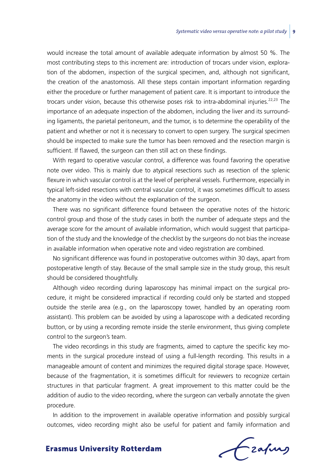would increase the total amount of available adequate information by almost 50 %. The most contributing steps to this increment are: introduction of trocars under vision, exploration of the abdomen, inspection of the surgical specimen, and, although not significant, the creation of the anastomosis. All these steps contain important information regarding either the procedure or further management of patient care. It is important to introduce the trocars under vision, because this otherwise poses risk to intra-abdominal injuries.<sup>22,23</sup> The importance of an adequate inspection of the abdomen, including the liver and its surrounding ligaments, the parietal peritoneum, and the tumor, is to determine the operability of the patient and whether or not it is necessary to convert to open surgery. The surgical specimen should be inspected to make sure the tumor has been removed and the resection margin is sufficient. If flawed, the surgeon can then still act on these findings.

With regard to operative vascular control, a difference was found favoring the operative note over video. This is mainly due to atypical resections such as resection of the splenic flexure in which vascular control is at the level of peripheral vessels. Furthermore, especially in typical left-sided resections with central vascular control, it was sometimes difficult to assess the anatomy in the video without the explanation of the surgeon.

There was no significant difference found between the operative notes of the historic control group and those of the study cases in both the number of adequate steps and the average score for the amount of available information, which would suggest that participation of the study and the knowledge of the checklist by the surgeons do not bias the increase in available information when operative note and video registration are combined.

No significant difference was found in postoperative outcomes within 30 days, apart from postoperative length of stay. Because of the small sample size in the study group, this result should be considered thoughtfully.

Although video recording during laparoscopy has minimal impact on the surgical procedure, it might be considered impractical if recording could only be started and stopped outside the sterile area (e.g., on the laparoscopy tower, handled by an operating room assistant). This problem can be avoided by using a laparoscope with a dedicated recording button, or by using a recording remote inside the sterile environment, thus giving complete control to the surgeon's team.

The video recordings in this study are fragments, aimed to capture the specific key moments in the surgical procedure instead of using a full-length recording. This results in a manageable amount of content and minimizes the required digital storage space. However, because of the fragmentation, it is sometimes difficult for reviewers to recognize certain structures in that particular fragment. A great improvement to this matter could be the addition of audio to the video recording, where the surgeon can verbally annotate the given procedure.

In addition to the improvement in available operative information and possibly surgical outcomes, video recording might also be useful for patient and family information and

frafing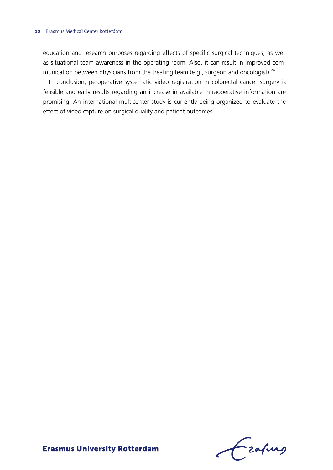education and research purposes regarding effects of specific surgical techniques, as well as situational team awareness in the operating room. Also, it can result in improved communication between physicians from the treating team (e.g., surgeon and oncologist).<sup>24</sup>

In conclusion, peroperative systematic video registration in colorectal cancer surgery is feasible and early results regarding an increase in available intraoperative information are promising. An international multicenter study is currently being organized to evaluate the effect of video capture on surgical quality and patient outcomes.

Frahing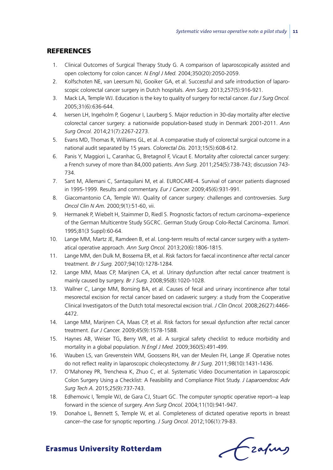## **REFERENCES**

- 1. Clinical Outcomes of Surgical Therapy Study G. A comparison of laparoscopically assisted and open colectomy for colon cancer. *N Engl J Med.* 2004;350(20):2050-2059.
- 2. Kolfschoten NE, van Leersum NJ, Gooiker GA, et al. Successful and safe introduction of laparoscopic colorectal cancer surgery in Dutch hospitals. *Ann Surg.* 2013;257(5):916-921.
- 3. Mack LA, Temple WJ. Education is the key to quality of surgery for rectal cancer. *Eur J Surg Oncol.* 2005;31(6):636-644.
- 4. Iversen LH, Ingeholm P, Gogenur I, Laurberg S. Major reduction in 30-day mortality after elective colorectal cancer surgery: a nationwide population-based study in Denmark 2001-2011. *Ann Surg Oncol.* 2014;21(7):2267-2273.
- 5. Evans MD, Thomas R, Williams GL, et al. A comparative study of colorectal surgical outcome in a national audit separated by 15 years. *Colorectal Dis.* 2013;15(5):608-612.
- 6. Panis Y, Maggiori L, Caranhac G, Bretagnol F, Vicaut E. Mortality after colorectal cancer surgery: a French survey of more than 84,000 patients. *Ann Surg.* 2011;254(5):738-743; discussion 743- 734.
- 7. Sant M, Allemani C, Santaquilani M, et al. EUROCARE-4. Survival of cancer patients diagnosed in 1995-1999. Results and commentary. *Eur J Cancer.* 2009;45(6):931-991.
- 8. Giacomantonio CA, Temple WJ. Quality of cancer surgery: challenges and controversies. *Surg Oncol Clin N Am.* 2000;9(1):51-60, vii.
- 9. Hermanek P, Wiebelt H, Staimmer D, Riedl S. Prognostic factors of rectum carcinoma--experience of the German Multicentre Study SGCRC. German Study Group Colo-Rectal Carcinoma. *Tumori.* 1995;81(3 Suppl):60-64.
- 10. Lange MM, Martz JE, Ramdeen B, et al. Long-term results of rectal cancer surgery with a systematical operative approach. *Ann Surg Oncol.* 2013;20(6):1806-1815.
- 11. Lange MM, den Dulk M, Bossema ER, et al. Risk factors for faecal incontinence after rectal cancer treatment. *Br J Surg.* 2007;94(10):1278-1284.
- 12. Lange MM, Maas CP, Marijnen CA, et al. Urinary dysfunction after rectal cancer treatment is mainly caused by surgery. *Br J Surg.* 2008;95(8):1020-1028.
- 13. Wallner C, Lange MM, Bonsing BA, et al. Causes of fecal and urinary incontinence after total mesorectal excision for rectal cancer based on cadaveric surgery: a study from the Cooperative Clinical Investigators of the Dutch total mesorectal excision trial. *J Clin Oncol.* 2008;26(27):4466- 4472.
- 14. Lange MM, Marijnen CA, Maas CP, et al. Risk factors for sexual dysfunction after rectal cancer treatment. *Eur J Cancer.* 2009;45(9):1578-1588.
- 15. Haynes AB, Weiser TG, Berry WR, et al. A surgical safety checklist to reduce morbidity and mortality in a global population. *N Engl J Med.* 2009;360(5):491-499.
- 16. Wauben LS, van Grevenstein WM, Goossens RH, van der Meulen FH, Lange JF. Operative notes do not reflect reality in laparoscopic cholecystectomy. *Br J Surg.* 2011;98(10):1431-1436.
- 17. O'Mahoney PR, Trencheva K, Zhuo C, et al. Systematic Video Documentation in Laparoscopic Colon Surgery Using a Checklist: A Feasibility and Compliance Pilot Study. *J Laparoendosc Adv Surg Tech A.* 2015;25(9):737-743.
- 18. Edhemovic I, Temple WJ, de Gara CJ, Stuart GC. The computer synoptic operative report--a leap forward in the science of surgery. *Ann Surg Oncol.* 2004;11(10):941-947.
- 19. Donahoe L, Bennett S, Temple W, et al. Completeness of dictated operative reports in breast cancer--the case for synoptic reporting. *J Surg Oncol.* 2012;106(1):79-83.

Czafing